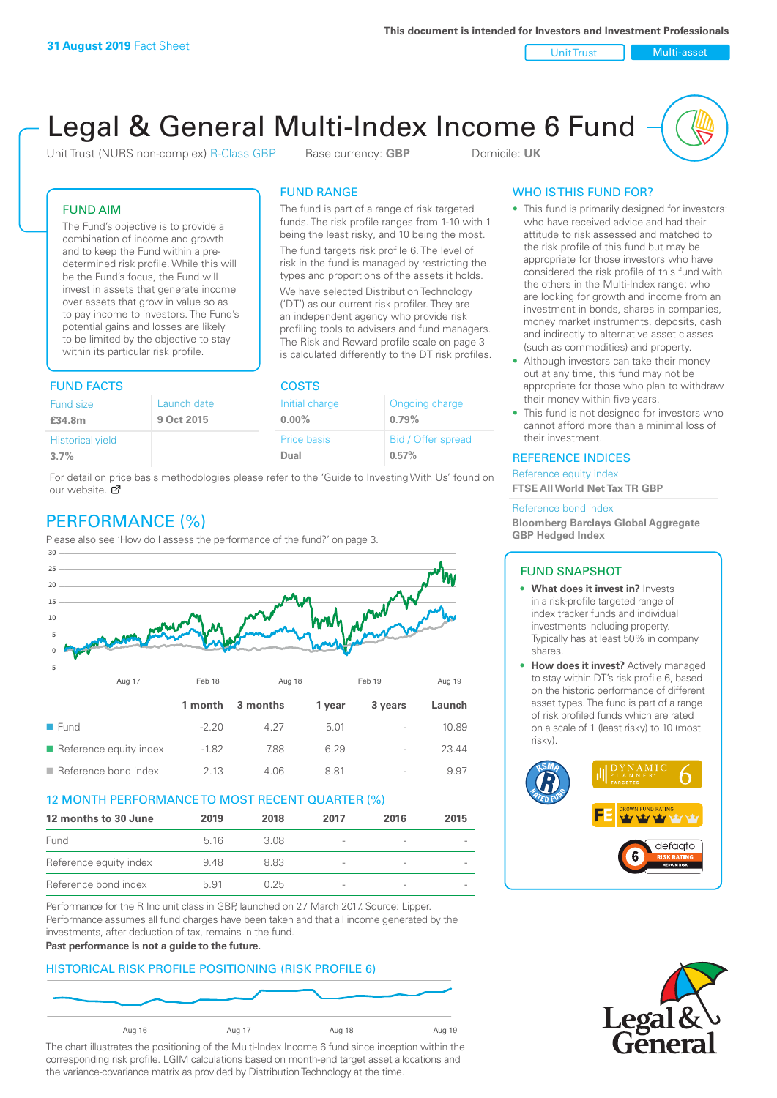Unit Trust Nulti-asset

# Legal & General Multi-Index Income 6 Fund

Unit Trust (NURS non-complex) R-Class GBP Base currency: **GBP** Domicile: UK

The fund is part of a range of risk targeted funds. The risk profile ranges from 1-10 with 1 being the least risky, and 10 being the most. The fund targets risk profile 6. The level of risk in the fund is managed by restricting the types and proportions of the assets it holds. We have selected Distribution Technology ('DT') as our current risk profiler. They are an independent agency who provide risk profiling tools to advisers and fund managers. The Risk and Reward profile scale on page 3 is calculated differently to the DT risk profiles.

FUND RANGE

## FUND AIM

The Fund's objective is to provide a combination of income and growth and to keep the Fund within a predetermined risk profile. While this will be the Fund's focus, the Fund will invest in assets that generate income over assets that grow in value so as to pay income to investors. The Fund's potential gains and losses are likely to be limited by the objective to stay within its particular risk profile.

## FUND FACTS COSTS

| .           |                | ----               |  |  |
|-------------|----------------|--------------------|--|--|
| Launch date | Initial charge | Ongoing charge     |  |  |
| 9 Oct 2015  | $0.00\%$       | 0.79%              |  |  |
|             | Price basis    | Bid / Offer spread |  |  |
|             | Dual           | 0.57%              |  |  |
|             |                |                    |  |  |

For detail on price basis methodologies please refer to the 'Guide to Investing With Us' found on our website. Ø

# PERFORMANCE (%)

Please also see 'How do I assess the performance of the fund?' on page 3.



### 12 MONTH PERFORMANCE TO MOST RECENT QUARTER (%)

| 12 months to 30 June   | 2019  | 2018 | 2017                     | 2016 | 2015 |
|------------------------|-------|------|--------------------------|------|------|
| Fund                   | 5 1 6 | 3.08 | -                        |      |      |
| Reference equity index | 9.48  | 8.83 | $\overline{\phantom{0}}$ |      |      |
| Reference bond index   | 5.91  | 0.25 | $\overline{\phantom{0}}$ |      |      |

Performance for the R Inc unit class in GBP, launched on 27 March 2017. Source: Lipper. Performance assumes all fund charges have been taken and that all income generated by the investments, after deduction of tax, remains in the fund.

#### **Past performance is not a guide to the future.**

### HISTORICAL RISK PROFILE POSITIONING (RISK PROFILE 6)



The chart illustrates the positioning of the Multi-Index Income 6 fund since inception within the corresponding risk profile. LGIM calculations based on month-end target asset allocations and the variance-covariance matrix as provided by Distribution Technology at the time.

## WHO IS THIS FUND FOR?

- This fund is primarily designed for investors: who have received advice and had their attitude to risk assessed and matched to the risk profile of this fund but may be appropriate for those investors who have considered the risk profile of this fund with the others in the Multi-Index range; who are looking for growth and income from an investment in bonds, shares in companies, money market instruments, deposits, cash and indirectly to alternative asset classes (such as commodities) and property.
- Although investors can take their money out at any time, this fund may not be appropriate for those who plan to withdraw their money within five years.
- This fund is not designed for investors who cannot afford more than a minimal loss of their investment.

### REFERENCE INDICES

Reference equity index **FTSE All World Net Tax TR GBP**

#### Reference bond index

**Bloomberg Barclays Global Aggregate GBP Hedged Index**

### FUND SNAPSHOT

- **• What does it invest in?** Invests in a risk-profile targeted range of index tracker funds and individual investments including property. Typically has at least 50% in company shares.
- **• How does it invest?** Actively managed to stay within DT's risk profile 6, based on the historic performance of different asset types. The fund is part of a range of risk profiled funds which are rated on a scale of 1 (least risky) to 10 (most risky).



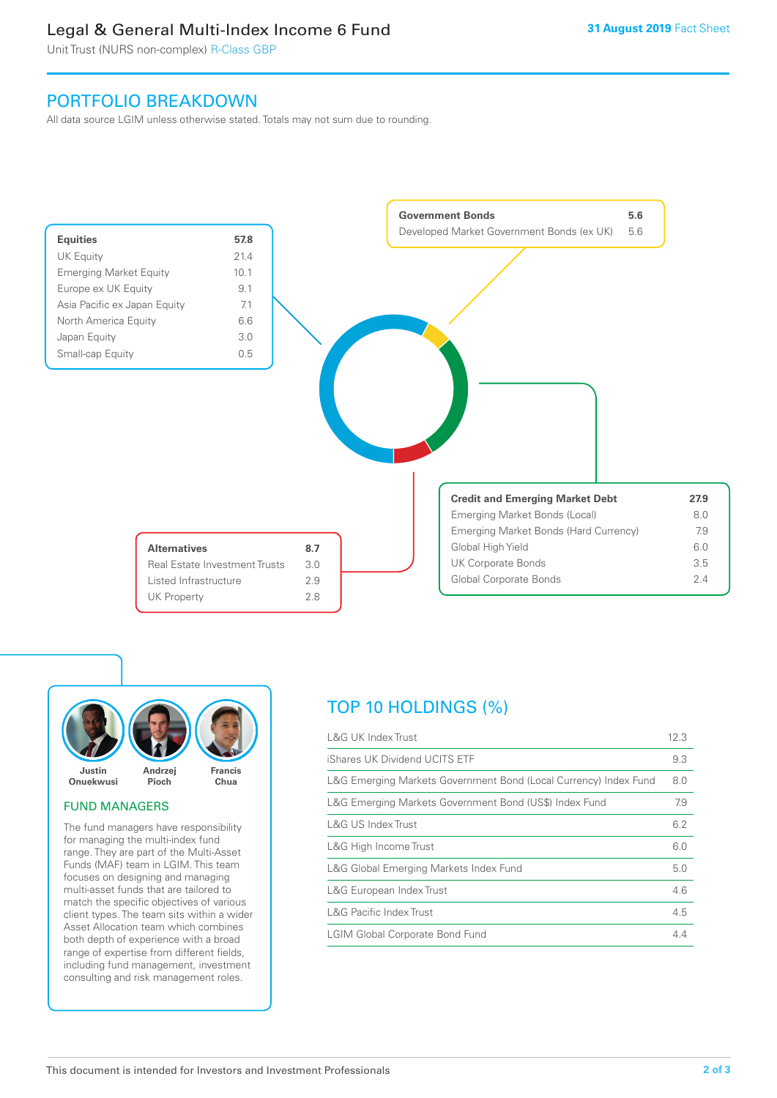# Legal & General Multi-Index Income 6 Fund

Unit Trust (NURS non-complex) R-Class GBP

## PORTFOLIO BREAKDOWN

All data source LGIM unless otherwise stated. Totals may not sum due to rounding.





### FUND MANAGERS

The fund managers have responsibility for managing the multi-index fund range. They are part of the Multi-Asset Funds (MAF) team in LGIM. This team focuses on designing and managing multi-asset funds that are tailored to match the specific objectives of various client types. The team sits within a wider Asset Allocation team which combines both depth of experience with a broad range of expertise from different fields, including fund management, investment consulting and risk management roles.

# TOP 10 HOLDINGS (%)

| <b>L&amp;G UK Index Trust</b>                                    | 12.3 |
|------------------------------------------------------------------|------|
| iShares UK Dividend UCITS ETF                                    | 9.3  |
| L&G Emerging Markets Government Bond (Local Currency) Index Fund | 8.0  |
| L&G Emerging Markets Government Bond (US\$) Index Fund           | 7.9  |
| <b>L&amp;G US Index Trust</b>                                    | 6.2  |
| L&G High Income Trust                                            | 6.0  |
| L&G Global Emerging Markets Index Fund                           | 5.0  |
| L&G European Index Trust                                         | 4.6  |
| <b>L&amp;G Pacific Index Trust</b>                               | 4.5  |
| <b>LGIM Global Corporate Bond Fund</b>                           | 4.4  |